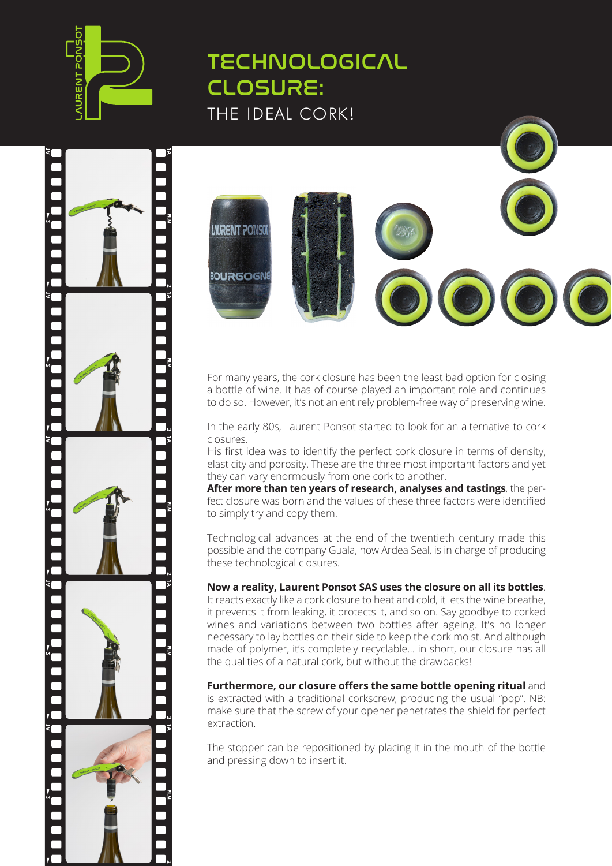





For many years, the cork closure has been the least bad option for closing a bottle of wine. It has of course played an important role and continues to do so. However, it's not an entirely problem-free way of preserving wine.

In the early 80s, Laurent Ponsot started to look for an alternative to cork closures.

His first idea was to identify the perfect cork closure in terms of density, elasticity and porosity. These are the three most important factors and yet they can vary enormously from one cork to another.

**After more than ten years of research, analyses and tastings**, the perfect closure was born and the values of these three factors were identified to simply try and copy them.

Technological advances at the end of the twentieth century made this possible and the company Guala, now Ardea Seal, is in charge of producing these technological closures.

## **Now a reality, Laurent Ponsot SAS uses the closure on all its bottles**.

It reacts exactly like a cork closure to heat and cold, it lets the wine breathe, it prevents it from leaking, it protects it, and so on. Say goodbye to corked wines and variations between two bottles after ageing. It's no longer necessary to lay bottles on their side to keep the cork moist. And although made of polymer, it's completely recyclable... in short, our closure has all the qualities of a natural cork, but without the drawbacks!

**Furthermore, our closure offers the same bottle opening ritual** and is extracted with a traditional corkscrew, producing the usual "pop". NB: make sure that the screw of your opener penetrates the shield for perfect extraction.

The stopper can be repositioned by placing it in the mouth of the bottle and pressing down to insert it.